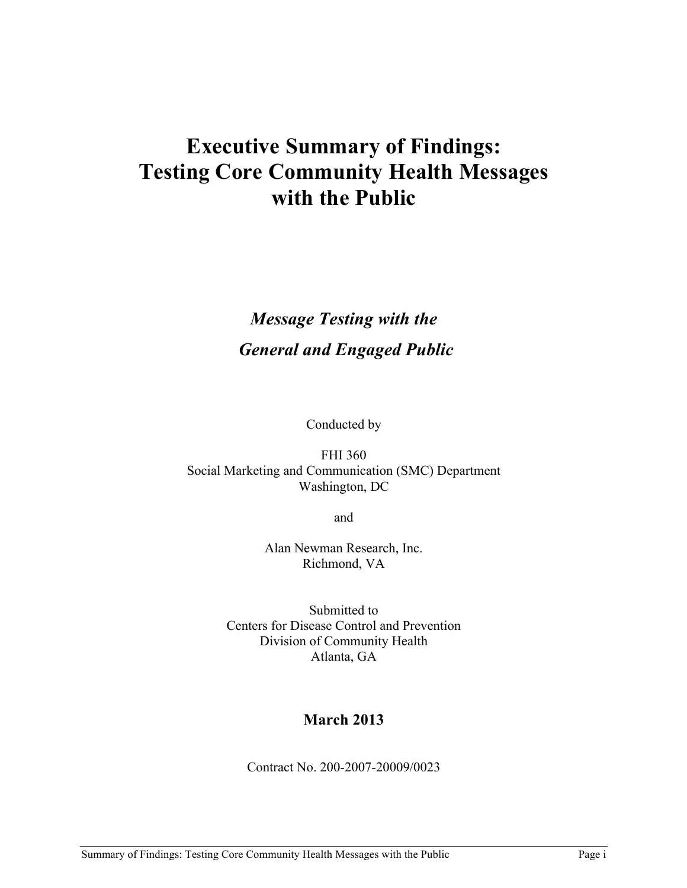# **Executive Summary of Findings: Testing Core Community Health Messages with the Public**

# *Message Testing with the General and Engaged Public*

Conducted by

FHI 360 Social Marketing and Communication (SMC) Department Washington, DC

and

Alan Newman Research, Inc. Richmond, VA

Submitted to Centers for Disease Control and Prevention Division of Community Health Atlanta, GA

## **March 2013**

Contract No. 200-2007-20009/0023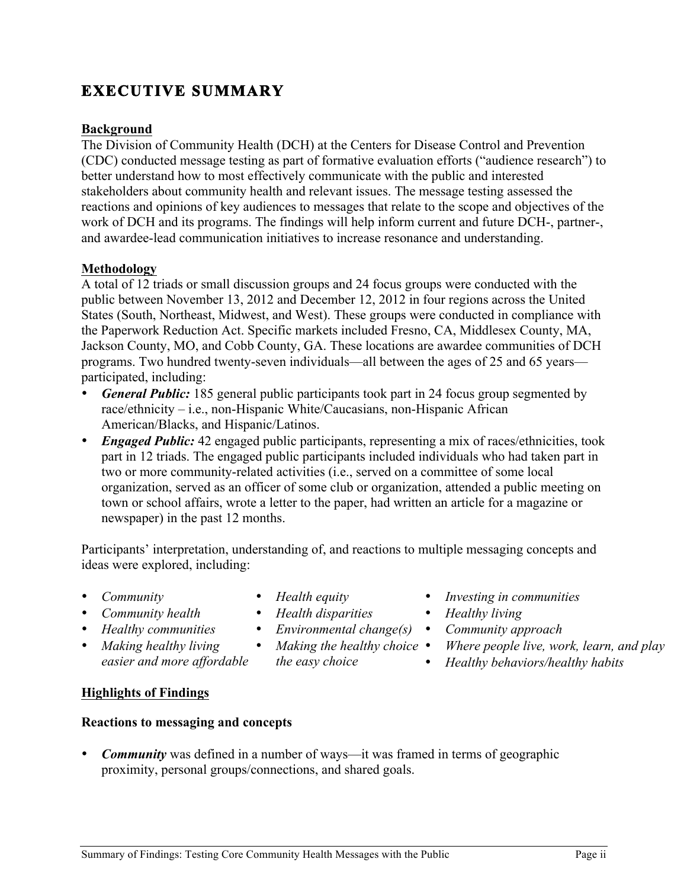#### **Background**

**EXECUTIVE SUMMARY** 

The Division of Community Health (DCH) at the Centers for Disease Control and Prevention (CDC) conducted message testing as part of formative evaluation efforts ("audience research") to better understand how to most effectively communicate with the public and interested stakeholders about community health and relevant issues. The message testing assessed the reactions and opinions of key audiences to messages that relate to the scope and objectives of the work of DCH and its programs. The findings will help inform current and future DCH-, partner-, and awardee-lead communication initiatives to increase resonance and understanding.

#### **Methodology**

A total of 12 triads or small discussion groups and 24 focus groups were conducted with the public between November 13, 2012 and December 12, 2012 in four regions across the United States (South, Northeast, Midwest, and West). These groups were conducted in compliance with the Paperwork Reduction Act. Specific markets included Fresno, CA, Middlesex County, MA, Jackson County, MO, and Cobb County, GA. These locations are awardee communities of DCH programs. Two hundred twenty-seven individuals—all between the ages of 25 and 65 years participated, including:

- *General Public:* 185 general public participants took part in 24 focus group segmented by race/ethnicity – i.e., non-Hispanic White/Caucasians, non-Hispanic African American/Blacks, and Hispanic/Latinos.
- *Engaged Public:* 42 engaged public participants, representing a mix of races/ethnicities, took part in 12 triads. The engaged public participants included individuals who had taken part in two or more community-related activities (i.e., served on a committee of some local organization, served as an officer of some club or organization, attended a public meeting on town or school affairs, wrote a letter to the paper, had written an article for a magazine or newspaper) in the past 12 months.

Participants' interpretation, understanding of, and reactions to multiple messaging concepts and ideas were explored, including:

- *Community*
- *Health equity*  • *Health disparities*
- *Community health*
- *Healthy communities*
- *Making healthy living easier and more affordable*

## **Highlights of Findings**

#### **Reactions to messaging and concepts**

• *Community* was defined in a number of ways—it was framed in terms of geographic proximity, personal groups/connections, and shared goals.

*the easy choice* 

- *Investing in communities*
- *Healthy living*
- *Environmental change(s) Community approach*
- *Making the healthy choice*  • *Where people live, work, learn, and play* 
	- *Healthy behaviors/healthy habits*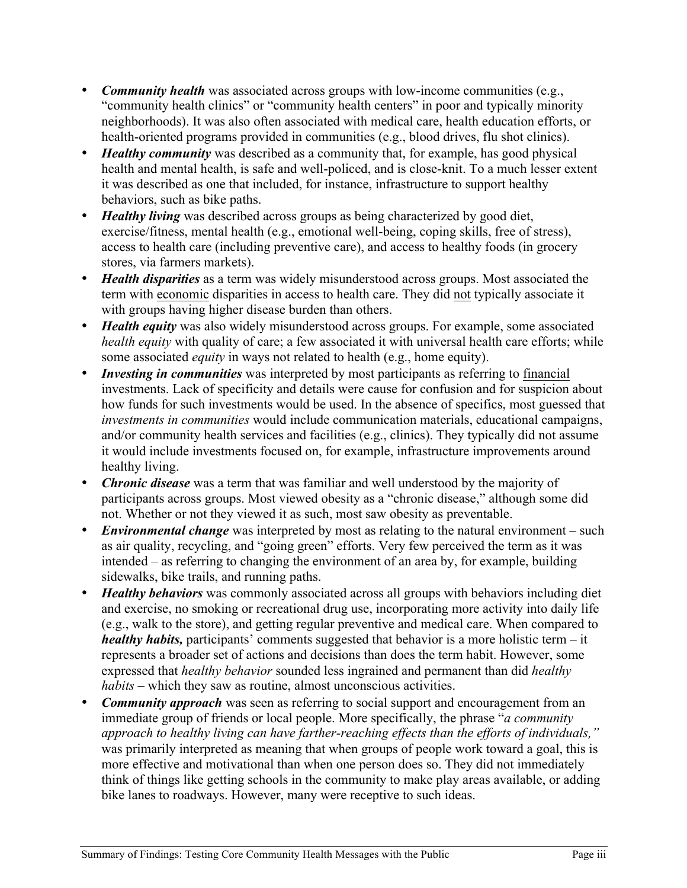- *Community health* was associated across groups with low-income communities (e.g., "community health clinics" or "community health centers" in poor and typically minority neighborhoods). It was also often associated with medical care, health education efforts, or health-oriented programs provided in communities (e.g., blood drives, flu shot clinics).
- *Healthy community* was described as a community that, for example, has good physical health and mental health, is safe and well-policed, and is close-knit. To a much lesser extent it was described as one that included, for instance, infrastructure to support healthy behaviors, such as bike paths.
- *Healthy living* was described across groups as being characterized by good diet, exercise/fitness, mental health (e.g., emotional well-being, coping skills, free of stress), access to health care (including preventive care), and access to healthy foods (in grocery stores, via farmers markets).
- *Health disparities* as a term was widely misunderstood across groups. Most associated the term with economic disparities in access to health care. They did not typically associate it with groups having higher disease burden than others.
- *Health equity* was also widely misunderstood across groups. For example, some associated *health equity* with quality of care; a few associated it with universal health care efforts; while some associated *equity* in ways not related to health (e.g., home equity).
- *Investing in communities* was interpreted by most participants as referring to financial investments. Lack of specificity and details were cause for confusion and for suspicion about how funds for such investments would be used. In the absence of specifics, most guessed that *investments in communities* would include communication materials, educational campaigns, and/or community health services and facilities (e.g., clinics). They typically did not assume it would include investments focused on, for example, infrastructure improvements around healthy living.
- *Chronic disease* was a term that was familiar and well understood by the majority of participants across groups. Most viewed obesity as a "chronic disease," although some did not. Whether or not they viewed it as such, most saw obesity as preventable.
- *Environmental change* was interpreted by most as relating to the natural environment such as air quality, recycling, and "going green" efforts. Very few perceived the term as it was intended – as referring to changing the environment of an area by, for example, building sidewalks, bike trails, and running paths.
- *Healthy behaviors* was commonly associated across all groups with behaviors including diet and exercise, no smoking or recreational drug use, incorporating more activity into daily life (e.g., walk to the store), and getting regular preventive and medical care. When compared to *healthy habits,* participants' comments suggested that behavior is a more holistic term – it represents a broader set of actions and decisions than does the term habit. However, some expressed that *healthy behavior* sounded less ingrained and permanent than did *healthy habits* – which they saw as routine, almost unconscious activities.
- *Community approach* was seen as referring to social support and encouragement from an immediate group of friends or local people. More specifically, the phrase "*a community approach to healthy living can have farther-reaching effects than the efforts of individuals,"*  was primarily interpreted as meaning that when groups of people work toward a goal, this is more effective and motivational than when one person does so. They did not immediately think of things like getting schools in the community to make play areas available, or adding bike lanes to roadways. However, many were receptive to such ideas.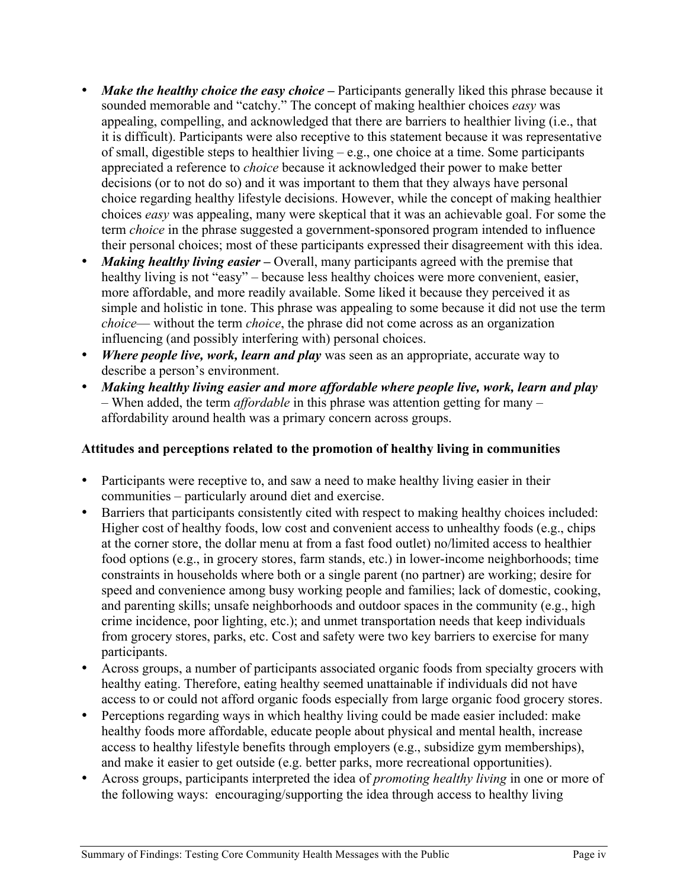- *Make the healthy choice the easy choice*Participants generally liked this phrase because it sounded memorable and "catchy." The concept of making healthier choices *easy* was appealing, compelling, and acknowledged that there are barriers to healthier living (i.e., that it is difficult). Participants were also receptive to this statement because it was representative of small, digestible steps to healthier living  $-e.g.,$  one choice at a time. Some participants appreciated a reference to *choice* because it acknowledged their power to make better decisions (or to not do so) and it was important to them that they always have personal choice regarding healthy lifestyle decisions. However, while the concept of making healthier choices *easy* was appealing, many were skeptical that it was an achievable goal. For some the term *choice* in the phrase suggested a government-sponsored program intended to influence their personal choices; most of these participants expressed their disagreement with this idea.
- *Making healthy living easier* Overall, many participants agreed with the premise that healthy living is not "easy" – because less healthy choices were more convenient, easier, more affordable, and more readily available. Some liked it because they perceived it as simple and holistic in tone. This phrase was appealing to some because it did not use the term *choice*— without the term *choice*, the phrase did not come across as an organization influencing (and possibly interfering with) personal choices.
- *Where people live, work, learn and play* was seen as an appropriate, accurate way to describe a person's environment.
- *Making healthy living easier and more affordable where people live, work, learn and play* – When added, the term *affordable* in this phrase was attention getting for many – affordability around health was a primary concern across groups.

### **Attitudes and perceptions related to the promotion of healthy living in communities**

- Participants were receptive to, and saw a need to make healthy living easier in their communities – particularly around diet and exercise.
- Barriers that participants consistently cited with respect to making healthy choices included: Higher cost of healthy foods, low cost and convenient access to unhealthy foods (e.g., chips at the corner store, the dollar menu at from a fast food outlet) no/limited access to healthier food options (e.g., in grocery stores, farm stands, etc.) in lower-income neighborhoods; time constraints in households where both or a single parent (no partner) are working; desire for speed and convenience among busy working people and families; lack of domestic, cooking, and parenting skills; unsafe neighborhoods and outdoor spaces in the community (e.g., high crime incidence, poor lighting, etc.); and unmet transportation needs that keep individuals from grocery stores, parks, etc. Cost and safety were two key barriers to exercise for many participants.
- Across groups, a number of participants associated organic foods from specialty grocers with healthy eating. Therefore, eating healthy seemed unattainable if individuals did not have access to or could not afford organic foods especially from large organic food grocery stores.
- Perceptions regarding ways in which healthy living could be made easier included: make healthy foods more affordable, educate people about physical and mental health, increase access to healthy lifestyle benefits through employers (e.g., subsidize gym memberships), and make it easier to get outside (e.g. better parks, more recreational opportunities).
- Across groups, participants interpreted the idea of *promoting healthy living* in one or more of the following ways: encouraging/supporting the idea through access to healthy living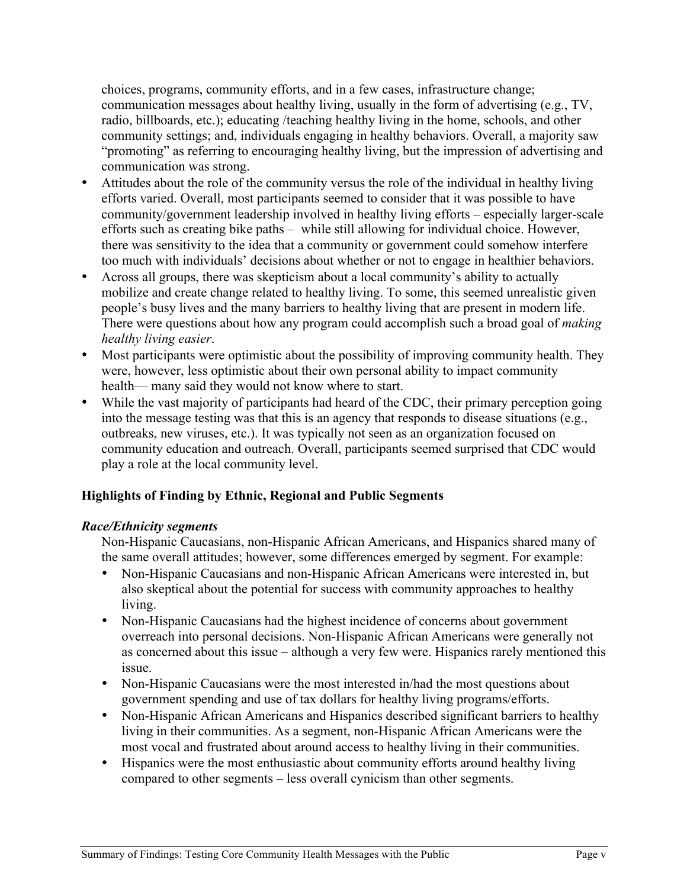choices, programs, community efforts, and in a few cases, infrastructure change; communication messages about healthy living, usually in the form of advertising (e.g., TV, radio, billboards, etc.); educating /teaching healthy living in the home, schools, and other community settings; and, individuals engaging in healthy behaviors. Overall, a majority saw "promoting" as referring to encouraging healthy living, but the impression of advertising and communication was strong.

- Attitudes about the role of the community versus the role of the individual in healthy living efforts varied. Overall, most participants seemed to consider that it was possible to have community/government leadership involved in healthy living efforts – especially larger-scale efforts such as creating bike paths – while still allowing for individual choice. However, there was sensitivity to the idea that a community or government could somehow interfere too much with individuals' decisions about whether or not to engage in healthier behaviors.
- Across all groups, there was skepticism about a local community's ability to actually mobilize and create change related to healthy living. To some, this seemed unrealistic given people's busy lives and the many barriers to healthy living that are present in modern life. There were questions about how any program could accomplish such a broad goal of *making healthy living easier*.
- Most participants were optimistic about the possibility of improving community health. They were, however, less optimistic about their own personal ability to impact community health— many said they would not know where to start.
- While the vast majority of participants had heard of the CDC, their primary perception going into the message testing was that this is an agency that responds to disease situations (e.g., outbreaks, new viruses, etc.). It was typically not seen as an organization focused on community education and outreach. Overall, participants seemed surprised that CDC would play a role at the local community level.

### **Highlights of Finding by Ethnic, Regional and Public Segments**

#### *Race/Ethnicity segments*

Non-Hispanic Caucasians, non-Hispanic African Americans, and Hispanics shared many of the same overall attitudes; however, some differences emerged by segment. For example:

- Non-Hispanic Caucasians and non-Hispanic African Americans were interested in, but also skeptical about the potential for success with community approaches to healthy living.
- Non-Hispanic Caucasians had the highest incidence of concerns about government overreach into personal decisions. Non-Hispanic African Americans were generally not as concerned about this issue – although a very few were. Hispanics rarely mentioned this issue.
- Non-Hispanic Caucasians were the most interested in/had the most questions about government spending and use of tax dollars for healthy living programs/efforts.
- Non-Hispanic African Americans and Hispanics described significant barriers to healthy living in their communities. As a segment, non-Hispanic African Americans were the most vocal and frustrated about around access to healthy living in their communities.
- Hispanics were the most enthusiastic about community efforts around healthy living compared to other segments – less overall cynicism than other segments.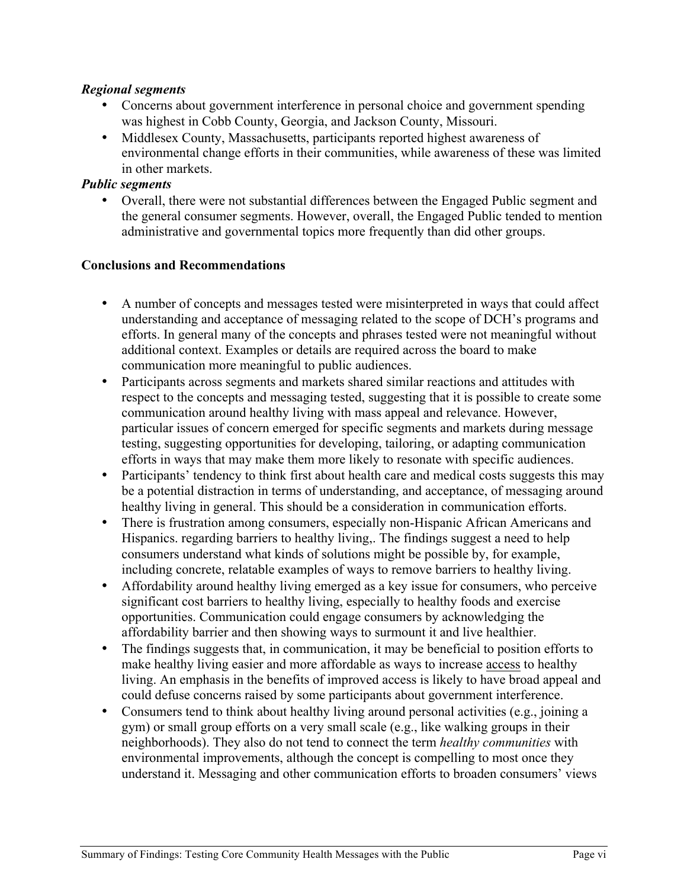#### *Regional segments*

- Concerns about government interference in personal choice and government spending was highest in Cobb County, Georgia, and Jackson County, Missouri.
- Middlesex County, Massachusetts, participants reported highest awareness of environmental change efforts in their communities, while awareness of these was limited in other markets.

#### *Public segments*

• Overall, there were not substantial differences between the Engaged Public segment and the general consumer segments. However, overall, the Engaged Public tended to mention administrative and governmental topics more frequently than did other groups.

#### **Conclusions and Recommendations**

- A number of concepts and messages tested were misinterpreted in ways that could affect understanding and acceptance of messaging related to the scope of DCH's programs and efforts. In general many of the concepts and phrases tested were not meaningful without additional context. Examples or details are required across the board to make communication more meaningful to public audiences.
- Participants across segments and markets shared similar reactions and attitudes with respect to the concepts and messaging tested, suggesting that it is possible to create some communication around healthy living with mass appeal and relevance. However, particular issues of concern emerged for specific segments and markets during message testing, suggesting opportunities for developing, tailoring, or adapting communication efforts in ways that may make them more likely to resonate with specific audiences.
- Participants' tendency to think first about health care and medical costs suggests this may be a potential distraction in terms of understanding, and acceptance, of messaging around healthy living in general. This should be a consideration in communication efforts.
- There is frustration among consumers, especially non-Hispanic African Americans and Hispanics. regarding barriers to healthy living,. The findings suggest a need to help consumers understand what kinds of solutions might be possible by, for example, including concrete, relatable examples of ways to remove barriers to healthy living.
- Affordability around healthy living emerged as a key issue for consumers, who perceive significant cost barriers to healthy living, especially to healthy foods and exercise opportunities. Communication could engage consumers by acknowledging the affordability barrier and then showing ways to surmount it and live healthier.
- The findings suggests that, in communication, it may be beneficial to position efforts to make healthy living easier and more affordable as ways to increase access to healthy living. An emphasis in the benefits of improved access is likely to have broad appeal and could defuse concerns raised by some participants about government interference.
- Consumers tend to think about healthy living around personal activities (e.g., joining a gym) or small group efforts on a very small scale (e.g., like walking groups in their neighborhoods). They also do not tend to connect the term *healthy communities* with environmental improvements, although the concept is compelling to most once they understand it. Messaging and other communication efforts to broaden consumers' views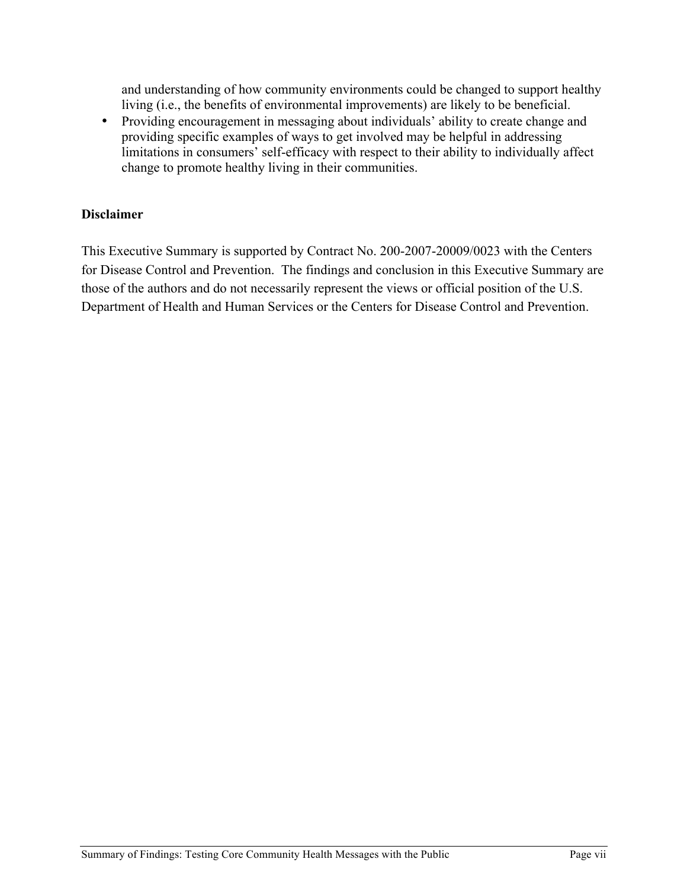and understanding of how community environments could be changed to support healthy living (i.e., the benefits of environmental improvements) are likely to be beneficial.

• Providing encouragement in messaging about individuals' ability to create change and providing specific examples of ways to get involved may be helpful in addressing limitations in consumers' self-efficacy with respect to their ability to individually affect change to promote healthy living in their communities.

### **Disclaimer**

This Executive Summary is supported by Contract No. 200-2007-20009/0023 with the Centers for Disease Control and Prevention. The findings and conclusion in this Executive Summary are those of the authors and do not necessarily represent the views or official position of the U.S. Department of Health and Human Services or the Centers for Disease Control and Prevention.